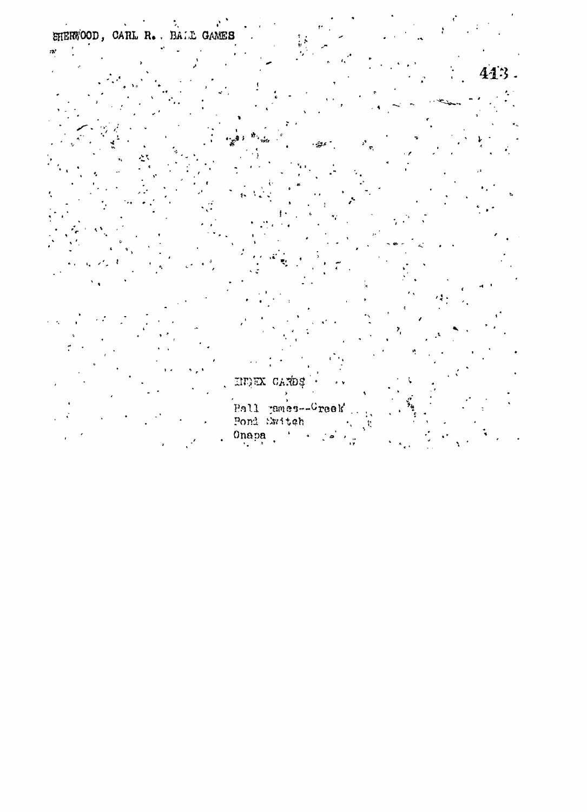EHERWOOD, CARL R. BALL GAMES  $\mathbf{w}$ 

413.

HURK CARDS Pall panes--Creek<br>Pond Switch<br>Onapa (1996)